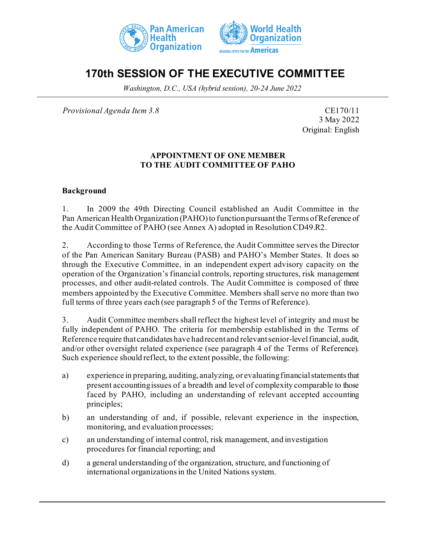



# **170th SESSION OF THE EXECUTIVE COMMITTEE**

*Washington, D.C., USA (hybrid session), 20-24 June 2022*

*Provisional Agenda Item 3.8* CE170/11

3 May 2022 Original: English

#### **APPOINTMENT OF ONE MEMBER TO THE AUDIT COMMITTEE OF PAHO**

#### **Background**

1. In 2009 the 49th Directing Council established an Audit Committee in the Pan American Health Organization (PAHO) to function pursuant the Terms of Reference of the Audit Committee of PAHO (see Annex A) adopted in Resolution CD49.R2.

2. According to those Terms of Reference, the Audit Committee serves the Director of the Pan American Sanitary Bureau (PASB) and PAHO's Member States. It does so through the Executive Committee, in an independent expert advisory capacity on the operation of the Organization's financial controls, reporting structures, risk management processes, and other audit-related controls. The Audit Committee is composed of three members appointed by the Executive Committee. Members shall serve no more than two full terms of three years each (see paragraph 5 of the Terms of Reference).

3. Audit Committee members shall reflect the highest level of integrity and must be fully independent of PAHO. The criteria for membership established in the Terms of Reference require that candidates have hadrecent and relevantsenior-levelfinancial, audit, and/or other oversight related experience (see paragraph 4 of the Terms of Reference). Such experience should reflect, to the extent possible, the following:

- a) experience in preparing, auditing, analyzing, or evaluating financial statements that present accountingissues of a breadth and level of complexity comparable to those faced by PAHO, including an understanding of relevant accepted accounting principles;
- b) an understanding of and, if possible, relevant experience in the inspection, monitoring, and evaluation processes;
- c) an understanding of internal control, risk management, and investigation procedures for financial reporting; and
- d) a general understanding of the organization, structure, and functioning of international organizations in the United Nations system.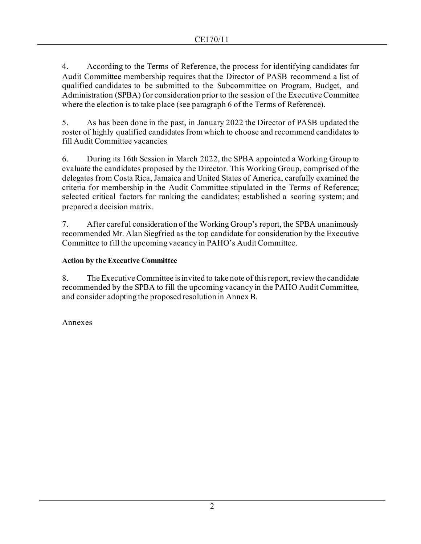4. According to the Terms of Reference, the process for identifying candidates for Audit Committee membership requires that the Director of PASB recommend a list of qualified candidates to be submitted to the Subcommittee on Program, Budget, and Administration (SPBA) for consideration prior to the session of the Executive Committee where the election is to take place (see paragraph 6 of the Terms of Reference).

5. As has been done in the past, in January 2022 the Director of PASB updated the roster of highly qualified candidates from which to choose and recommend candidates to fill Audit Committee vacancies

6. During its 16th Session in March 2022, the SPBA appointed a Working Group to evaluate the candidates proposed by the Director. This Working Group, comprised of the delegates from Costa Rica, Jamaica and United States of America, carefully examined the criteria for membership in the Audit Committee stipulated in the Terms of Reference; selected critical factors for ranking the candidates; established a scoring system; and prepared a decision matrix.

7. After careful consideration of the Working Group's report, the SPBA unanimously recommended Mr. Alan Siegfried as the top candidate for consideration by the Executive Committee to fill the upcoming vacancy in PAHO's Audit Committee.

## **Action by the Executive Committee**

8. The Executive Committee is invited to take note of this report, review the candidate recommended by the SPBA to fill the upcoming vacancy in the PAHO Audit Committee, and consider adopting the proposed resolution in Annex B.

Annexes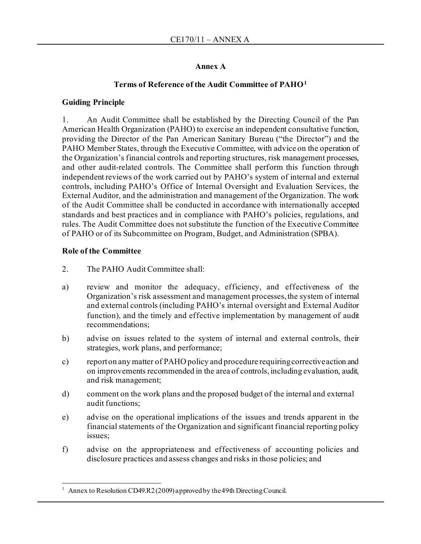### **Annex A**

## **Terms of Reference of the Audit Committee of PAHO[1](#page-2-0)**

#### **Guiding Principle**

1. An Audit Committee shall be established by the Directing Council of the Pan American Health Organization (PAHO) to exercise an independent consultative function, providing the Director of the Pan American Sanitary Bureau ("the Director") and the PAHO Member States, through the Executive Committee, with advice on the operation of the Organization's financial controls and reporting structures, risk management processes, and other audit-related controls. The Committee shall perform this function through independent reviews of the work carried out by PAHO's system of internal and external controls, including PAHO's Office of Internal Oversight and Evaluation Services, the External Auditor, and the administration and management of the Organization. The work of the Audit Committee shall be conducted in accordance with internationally accepted standards and best practices and in compliance with PAHO's policies, regulations, and rules. The Audit Committee does not substitute the function of the Executive Committee of PAHO or of its Subcommittee on Program, Budget, and Administration (SPBA).

#### **Role of the Committee**

- 2. The PAHO Audit Committee shall:
- a) review and monitor the adequacy, efficiency, and effectiveness of the Organization's risk assessment and management processes, the system of internal and external controls (including PAHO's internal oversight and External Auditor function), and the timely and effective implementation by management of audit recommendations;
- b) advise on issues related to the system of internal and external controls, their strategies, work plans, and performance;
- c) report on any matter of PAHO policy and procedure requiring corrective action and on improvements recommended in the area of controls, including evaluation, audit, and risk management;
- d) comment on the work plans and the proposed budget of the internal and external audit functions;
- e) advise on the operational implications of the issues and trends apparent in the financial statements of the Organization and significant financial reporting policy issues;
- f) advise on the appropriateness and effectiveness of accounting policies and disclosure practices and assess changes and risks in those policies; and

<span id="page-2-0"></span>Annex to Resolution CD49.R2 (2009) approved by the 49th Directing Council.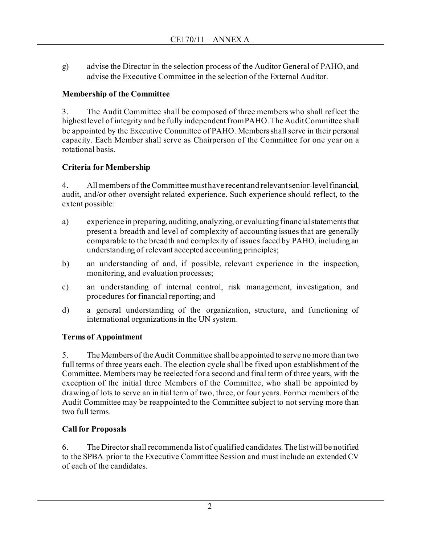g) advise the Director in the selection process of the Auditor General of PAHO, and advise the Executive Committee in the selection of the External Auditor.

## **Membership of the Committee**

3. The Audit Committee shall be composed of three members who shall reflect the highest level of integrity and be fully independent from PAHO. The Audit Committee shall be appointed by the Executive Committee of PAHO. Members shall serve in their personal capacity. Each Member shall serve as Chairperson of the Committee for one year on a rotational basis.

# **Criteria for Membership**

4. All members of the Committee must have recent and relevant senior-level financial, audit, and/or other oversight related experience. Such experience should reflect, to the extent possible:

- a) experience in preparing, auditing, analyzing, or evaluating financial statements that present a breadth and level of complexity of accounting issues that are generally comparable to the breadth and complexity of issues faced by PAHO, including an understanding of relevant accepted accounting principles;
- b) an understanding of and, if possible, relevant experience in the inspection, monitoring, and evaluation processes;
- c) an understanding of internal control, risk management, investigation, and procedures for financial reporting; and
- d) a general understanding of the organization, structure, and functioning of international organizations in the UN system.

# **Terms of Appointment**

5. The Members of the Audit Committee shall be appointed to serve no more than two full terms of three years each. The election cycle shall be fixed upon establishment of the Committee. Members may be reelected for a second and final term of three years, with the exception of the initial three Members of the Committee, who shall be appointed by drawing of lots to serve an initial term of two, three, or four years. Former members of the Audit Committee may be reappointed to the Committee subject to not serving more than two full terms.

# **Call for Proposals**

6. The Director shall recommend a list of qualified candidates. The list will be notified to the SPBA prior to the Executive Committee Session and must include an extended CV of each of the candidates.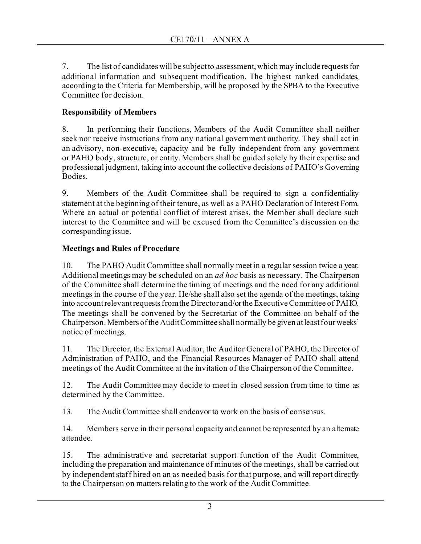7. The list of candidates will be subject to assessment, which may include requests for additional information and subsequent modification. The highest ranked candidates, according to the Criteria for Membership, will be proposed by the SPBA to the Executive Committee for decision.

## **Responsibility of Members**

8. In performing their functions, Members of the Audit Committee shall neither seek nor receive instructions from any national government authority. They shall act in an advisory, non-executive, capacity and be fully independent from any government or PAHO body, structure, or entity. Members shall be guided solely by their expertise and professional judgment, taking into account the collective decisions of PAHO's Governing Bodies.

9. Members of the Audit Committee shall be required to sign a confidentiality statement at the beginning of their tenure, as well as a PAHO Declaration of Interest Form. Where an actual or potential conflict of interest arises, the Member shall declare such interest to the Committee and will be excused from the Committee's discussion on the corresponding issue.

## **Meetings and Rules of Procedure**

10. The PAHO Audit Committee shall normally meet in a regular session twice a year. Additional meetings may be scheduled on an *ad hoc* basis as necessary. The Chairperson of the Committee shall determine the timing of meetings and the need for any additional meetings in the course of the year. He/she shall also set the agenda of the meetings, taking into account relevant requests from the Director and/or the Executive Committee of PAHO. The meetings shall be convened by the Secretariat of the Committee on behalf of the Chairperson. Members of the Audit Committee shall normally be given at least four weeks' notice of meetings.

11. The Director, the External Auditor, the Auditor General of PAHO, the Director of Administration of PAHO, and the Financial Resources Manager of PAHO shall attend meetings of the Audit Committee at the invitation of the Chairperson of the Committee.

12. The Audit Committee may decide to meet in closed session from time to time as determined by the Committee.

13. The Audit Committee shall endeavor to work on the basis of consensus.

14. Members serve in their personal capacity and cannot be represented by an alternate attendee.

15. The administrative and secretariat support function of the Audit Committee, including the preparation and maintenance of minutes of the meetings, shall be carried out by independent staff hired on an as needed basis for that purpose, and will report directly to the Chairperson on matters relating to the work of the Audit Committee.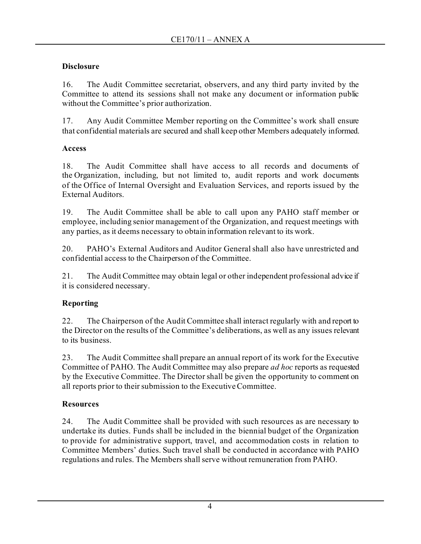## **Disclosure**

16. The Audit Committee secretariat, observers, and any third party invited by the Committee to attend its sessions shall not make any document or information public without the Committee's prior authorization.

17. Any Audit Committee Member reporting on the Committee's work shall ensure that confidential materials are secured and shall keep other Members adequately informed.

## **Access**

18. The Audit Committee shall have access to all records and documents of the Organization, including, but not limited to, audit reports and work documents of the Office of Internal Oversight and Evaluation Services, and reports issued by the External Auditors.

19. The Audit Committee shall be able to call upon any PAHO staff member or employee, including senior management of the Organization, and request meetings with any parties, as it deems necessary to obtain information relevant to its work.

20. PAHO's External Auditors and Auditor General shall also have unrestricted and confidential access to the Chairperson of the Committee.

21. The Audit Committee may obtain legal or other independent professional advice if it is considered necessary.

# **Reporting**

22. The Chairperson of the Audit Committee shall interact regularly with and report to the Director on the results of the Committee's deliberations, as well as any issues relevant to its business.

23. The Audit Committee shall prepare an annual report of its work for the Executive Committee of PAHO. The Audit Committee may also prepare *ad hoc* reports as requested by the Executive Committee. The Director shall be given the opportunity to comment on all reports prior to their submission to the Executive Committee.

# **Resources**

24. The Audit Committee shall be provided with such resources as are necessary to undertake its duties. Funds shall be included in the biennial budget of the Organization to provide for administrative support, travel, and accommodation costs in relation to Committee Members' duties. Such travel shall be conducted in accordance with PAHO regulations and rules. The Members shall serve without remuneration from PAHO.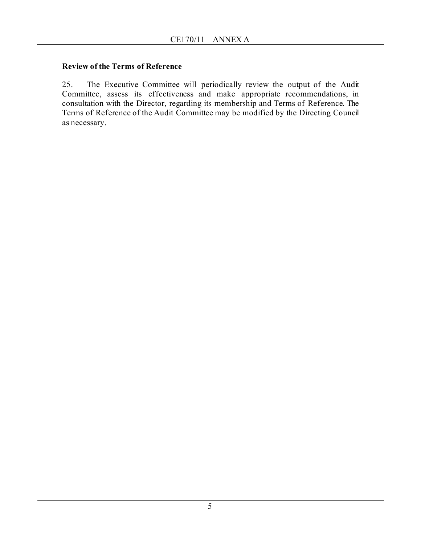### **Review of the Terms of Reference**

25. The Executive Committee will periodically review the output of the Audit Committee, assess its effectiveness and make appropriate recommendations, in consultation with the Director, regarding its membership and Terms of Reference. The Terms of Reference of the Audit Committee may be modified by the Directing Council as necessary.